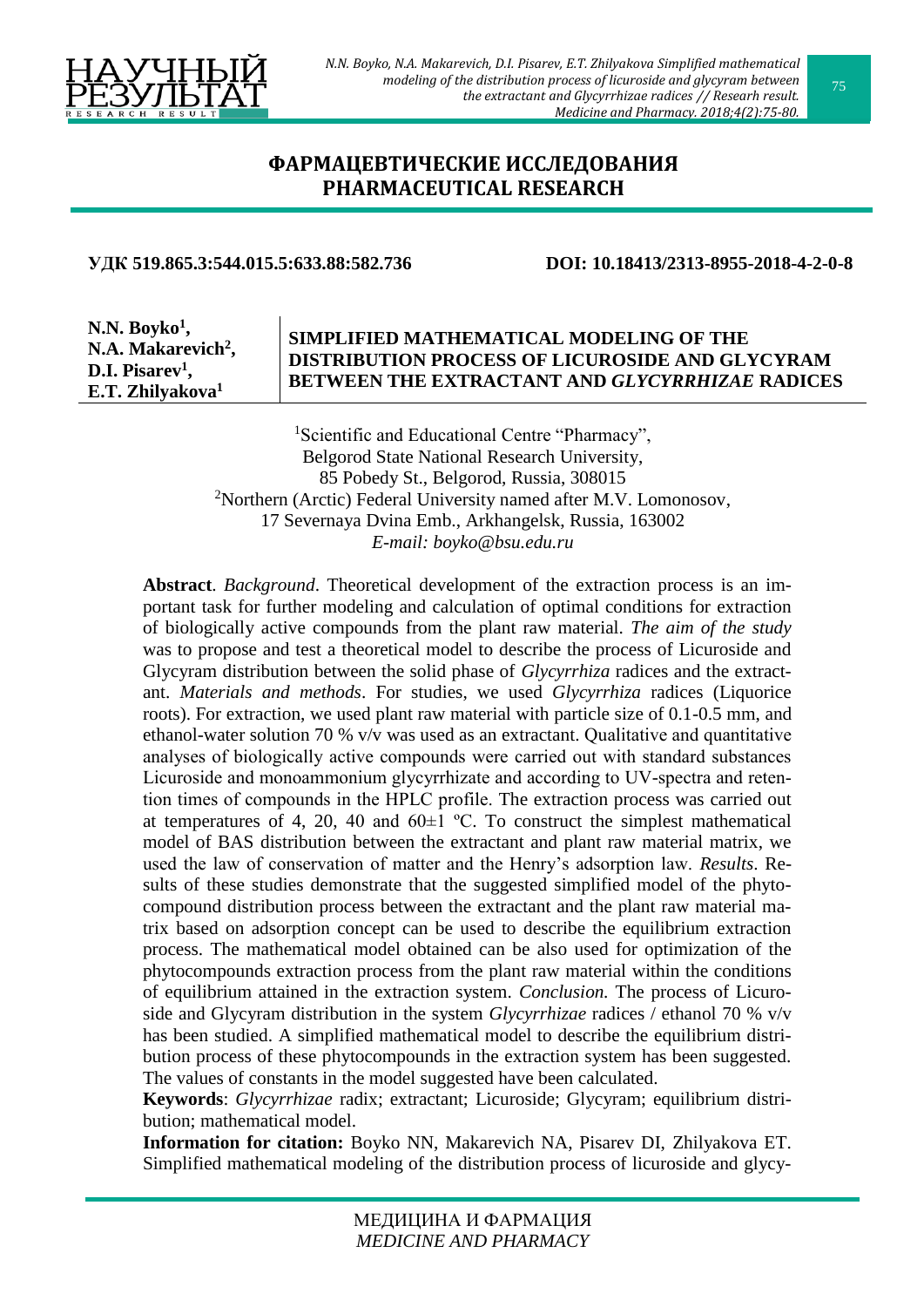

## **[ФАРМАЦЕВТИЧЕСКИЕ](http://rrmedicine.ru/journal/rubric/11/) ИССЛЕДОВАНИЯ [PHARMACEUTICAL](http://rrmedicine.ru/en/journal/rubric/11/) RESEARCH**

### **УДК 519.865.3:544.015.5:633.88:582.736 DOI: 10.18413/2313-8955-2018-4-2-0-8**

**N.N. Boyko<sup>1</sup> , N.A. Makarevich<sup>2</sup> , D.I. Pisarev<sup>1</sup> , E.T. Zhilyakova<sup>1</sup>**

## **SIMPLIFIED MATHEMATICAL MODELING OF THE DISTRIBUTION PROCESS OF LICUROSIDE AND GLYCYRAM BETWEEN THE EXTRACTANT AND** *GLYCYRRHIZAE* **RADICES**

<sup>1</sup>Scientific and Educational Centre "Pharmacy", Belgorod State National Research University, 85 Pobedy St., Belgorod, Russia, 308015 <sup>2</sup>Northern (Arctic) Federal University named after M.V. Lomonosov, 17 Severnaya Dvina Emb., Arkhangelsk, Russia, 163002 *E-mail: boyko@bsu.edu.ru*

**Abstract**. *Background*. Theoretical development of the extraction process is an important task for further modeling and calculation of optimal conditions for extraction of biologically active compounds from the plant raw material. *The aim of the study* was to propose and test a theoretical model to describe the process of Licuroside and Glycyram distribution between the solid phase of *Glycyrrhiza* radices and the extractant. *Materials and methods*. For studies, we used *Glycyrrhiza* radices (Liquorice roots). For extraction, we used plant raw material with particle size of 0.1-0.5 mm, and ethanol-water solution 70 % v/v was used as an extractant. Qualitative and quantitative analyses of biologically active compounds were carried out with standard substances Licuroside and monoammonium glycyrrhizate and according to UV-spectra and retention times of compounds in the HPLC profile. The extraction process was carried out at temperatures of 4, 20, 40 and  $60±1$  °C. To construct the simplest mathematical model of BAS distribution between the extractant and plant raw material matrix, we used the law of conservation of matter and the Henry's adsorption law. *Results*. Results of these studies demonstrate that the suggested simplified model of the phytocompound distribution process between the extractant and the plant raw material matrix based on adsorption concept can be used to describe the equilibrium extraction process. The mathematical model obtained can be also used for optimization of the phytocompounds extraction process from the plant raw material within the conditions of equilibrium attained in the extraction system. *Conclusion.* The process of Licuroside and Glycyram distribution in the system *Glycyrrhizae* radices / ethanol 70 % v/v has been studied. A simplified mathematical model to describe the equilibrium distribution process of these phytocompounds in the extraction system has been suggested. The values of constants in the model suggested have been calculated.

**Keywords**: *Glycyrrhizae* radix; extractant; Licuroside; Glycyram; equilibrium distribution; mathematical model.

**Information for citation:** Boyko NN, Makarevich NA, Pisarev DI, Zhilyakova ET. Simplified mathematical modeling of the distribution process of licuroside and glycy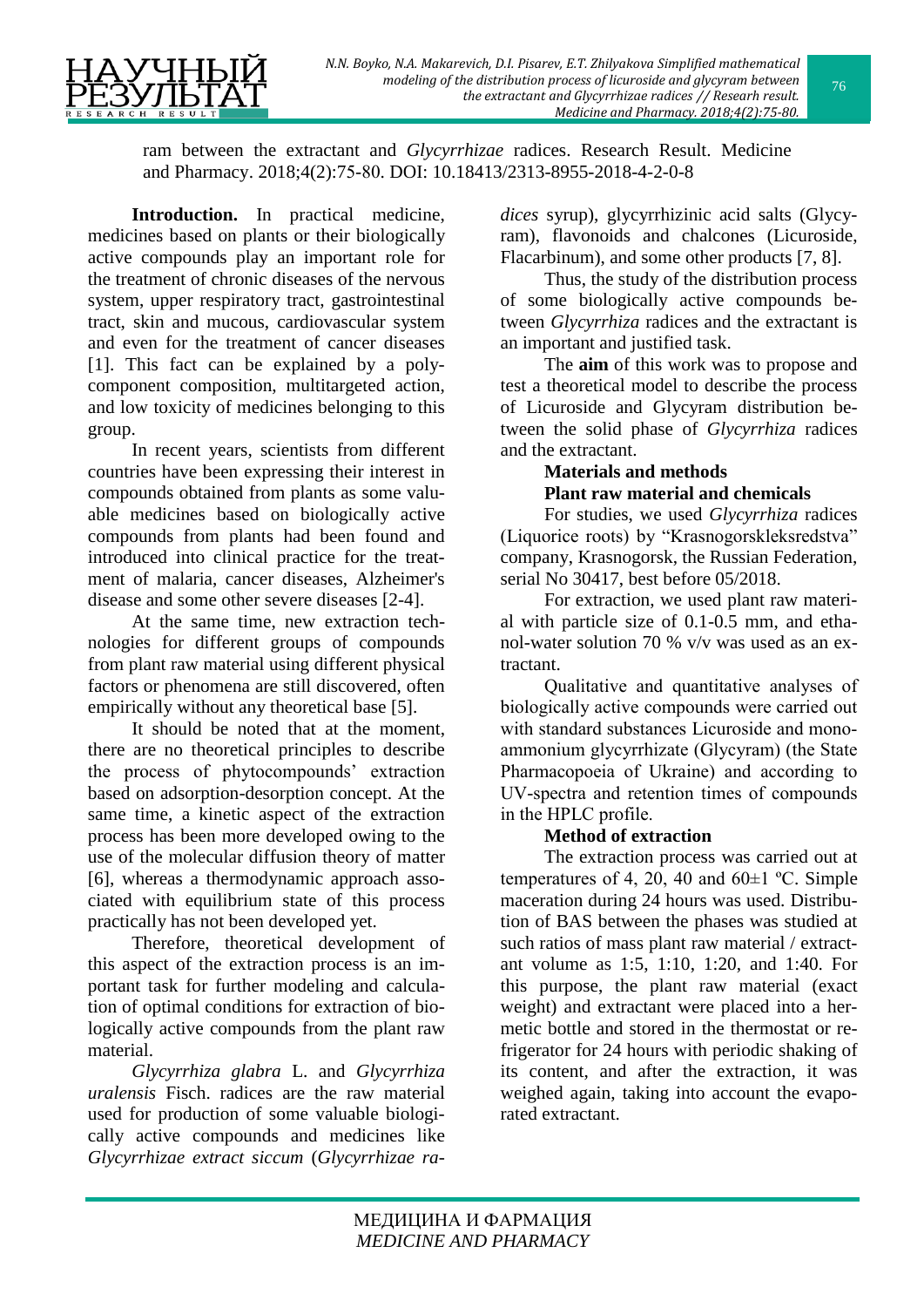ram between the extractant and *Glycyrrhizae* radices. Research Result. Medicine and Pharmacy. 2018;4(2):75-80. DOI: 10.18413/2313-8955-2018-4-2-0-8

**Introduction.** In practical medicine, medicines based on plants or their biologically active compounds play an important role for the treatment of chronic diseases of the nervous system, upper respiratory tract, gastrointestinal tract, skin and mucous, cardiovascular system and even for the treatment of cancer diseases [1]. This fact can be explained by a polycomponent composition, multitargeted action, and low toxicity of medicines belonging to this group.

In recent years, scientists from different countries have been expressing their interest in compounds obtained from plants as some valuable medicines based on biologically active compounds from plants had been found and introduced into clinical practice for the treatment of malaria, cancer diseases, Alzheimer's disease and some other severe diseases [2-4].

At the same time, new extraction technologies for different groups of compounds from plant raw material using different physical factors or phenomena are still discovered, often empirically without any theoretical base [5].

It should be noted that at the moment, there are no theoretical principles to describe the process of phytocompounds' extraction based on adsorption-desorption concept. At the same time, a kinetic aspect of the extraction process has been more developed owing to the use of the molecular diffusion theory of matter [6], whereas a thermodynamic approach associated with equilibrium state of this process practically has not been developed yet.

Therefore, theoretical development of this aspect of the extraction process is an important task for further modeling and calculation of optimal conditions for extraction of biologically active compounds from the plant raw material.

*Glycyrrhiza glabra* L. and *Glycyrrhiza uralensis* Fisch. radices are the raw material used for production of some valuable biologically active compounds and medicines like *Glycyrrhizae extract siccum* (*Glycyrrhizae ra-* *dices* syrup), glycyrrhizinic acid salts (Glycyram), flavonoids and chalcones (Licuroside, Flacarbinum), and some other products [7, 8].

Thus, the study of the distribution process of some biologically active compounds between *Glycyrrhiza* radices and the extractant is an important and justified task.

The **aim** of this work was to propose and test a theoretical model to describe the process of Licuroside and Glycyram distribution between the solid phase of *Glycyrrhiza* radices and the extractant.

# **Materials and methods Plant raw material and chemicals**

For studies, we used *Glycyrrhiza* radices (Liquorice roots) by "Krasnogorskleksredstva" company, Krasnogorsk, the Russian Federation, serial No 30417, best before 05/2018.

For extraction, we used plant raw material with particle size of 0.1-0.5 mm, and ethanol-water solution 70 % v/v was used as an extractant.

Qualitative and quantitative analyses of biologically active compounds were carried out with standard substances Licuroside and monoammonium glycyrrhizate (Glycyram) (the State Pharmacopoeia of Ukraine) and according to UV-spectra and retention times of compounds in the HPLC profile.

## **Method of extraction**

The extraction process was carried out at temperatures of 4, 20, 40 and  $60\pm1$  °C. Simple maceration during 24 hours was used. Distribution of BAS between the phases was studied at such ratios of mass plant raw material / extractant volume as 1:5, 1:10, 1:20, and 1:40. For this purpose, the plant raw material (exact weight) and extractant were placed into a hermetic bottle and stored in the thermostat or refrigerator for 24 hours with periodic shaking of its content, and after the extraction, it was weighed again, taking into account the evaporated extractant.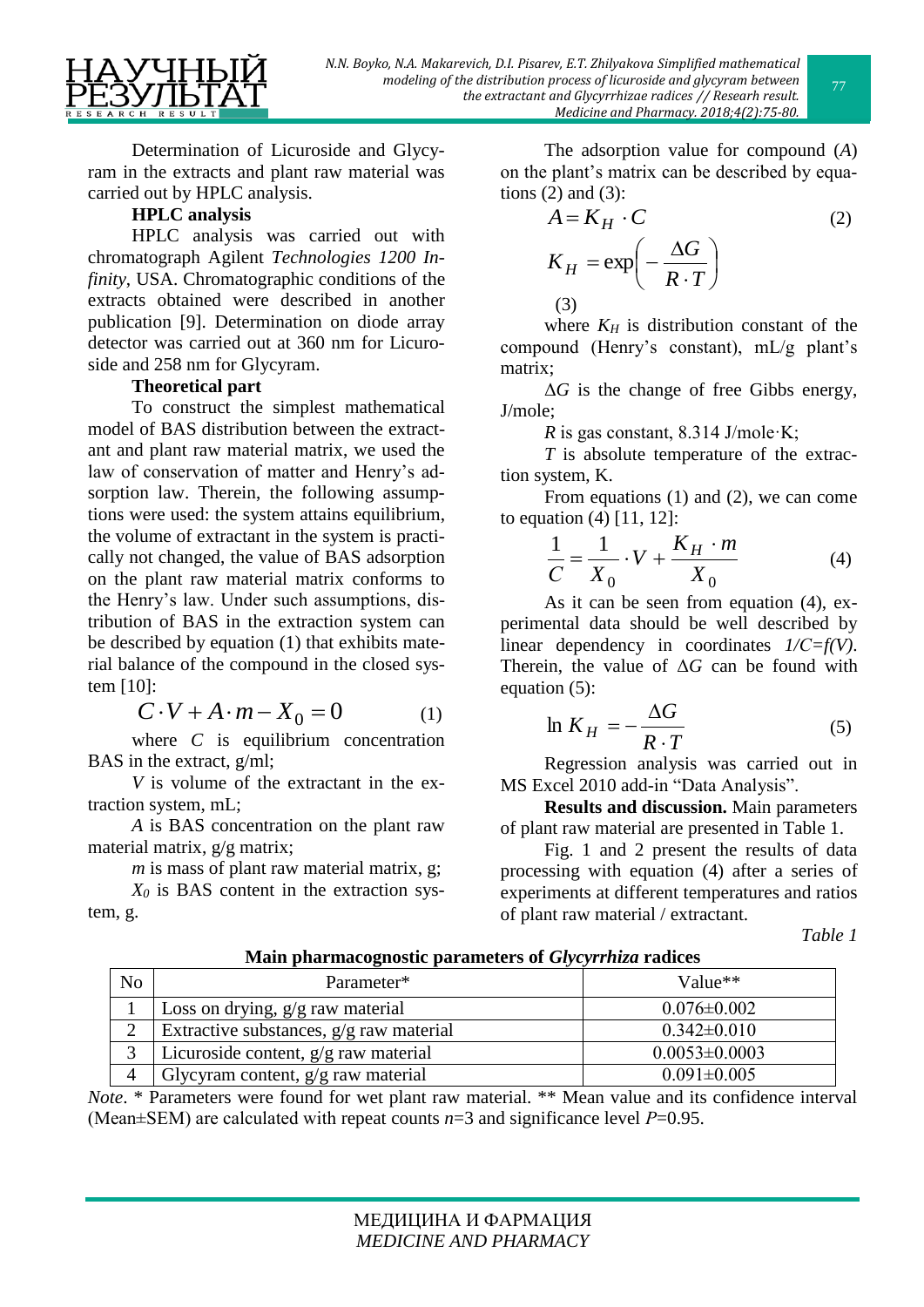Determination of Licuroside and Glycyram in the extracts and plant raw material was carried out by HPLC analysis.

## **HPLC analysis**

HPLC analysis was carried out with chromatograph Agilent *Technologies 1200 Infinity*, USA. Chromatographic conditions of the extracts obtained were described in another publication [9]. Determination on diode array detector was carried out at 360 nm for Licuroside and 258 nm for Glycyram.

## **Theoretical part**

To construct the simplest mathematical model of BAS distribution between the extractant and plant raw material matrix, we used the law of conservation of matter and Henry's adsorption law. Therein, the following assumptions were used: the system attains equilibrium, the volume of extractant in the system is practically not changed, the value of BAS adsorption on the plant raw material matrix conforms to the Henry's law. Under such assumptions, distribution of BAS in the extraction system can be described by equation (1) that exhibits material balance of the compound in the closed system [10]:

$$
C \cdot V + A \cdot m - X_0 = 0 \tag{1}
$$

where *C* is equilibrium concentration BAS in the extract, g/ml;

*V* is volume of the extractant in the extraction system, mL;

*A* is BAS concentration on the plant raw material matrix, g/g matrix;

*m* is mass of plant raw material matrix, g; *X<sup>0</sup>* is BAS content in the extraction system, g.

The adsorption value for compound (*A*) on the plant's matrix can be described by equations  $(2)$  and  $(3)$ :

$$
A = K_H \cdot C \tag{2}
$$
  
\n
$$
K_H = \exp\left(-\frac{\Delta G}{R \cdot T}\right)
$$
  
\n(3)

where  $K_H$  is distribution constant of the compound (Henry's constant), mL/g plant's matrix;

Δ*G* is the change of free Gibbs energy, J/mole;

*R* is gas constant, 8.314 J/mole·K;

*T* is absolute temperature of the extraction system, K.

From equations (1) and (2), we can come to equation (4) [11, 12]:

$$
\frac{1}{C} = \frac{1}{X_0} \cdot V + \frac{K_H \cdot m}{X_0} \tag{4}
$$

As it can be seen from equation (4), experimental data should be well described by linear dependency in coordinates *1/С=f(V)*. Therein, the value of Δ*G* can be found with equation (5):

$$
\ln K_H = -\frac{\Delta G}{R \cdot T} \tag{5}
$$

Regression analysis was carried out in MS Excel 2010 add-in "Data Analysis".

**Results and discussion.** Main parameters of plant raw material are presented in Table 1.

Fig. 1 and 2 present the results of data processing with equation (4) after a series of experiments at different temperatures and ratios of plant raw material / extractant.

*Table 1*

| No | Parameter*                                | Value**             |
|----|-------------------------------------------|---------------------|
|    | Loss on drying, $g/g$ raw material        | $0.076 \pm 0.002$   |
|    | Extractive substances, $g/g$ raw material | $0.342 \pm 0.010$   |
|    | Licuroside content, $g/g$ raw material    | $0.0053 \pm 0.0003$ |
|    | Glycyram content, $g/g$ raw material      | $0.091 \pm 0.005$   |

**Main pharmacognostic parameters of** *Glycyrrhiza* **radices**

*Note*. \* Parameters were found for wet plant raw material. \*\* Mean value and its confidence interval (Mean $\pm$ SEM) are calculated with repeat counts  $n=3$  and significance level  $P=0.95$ .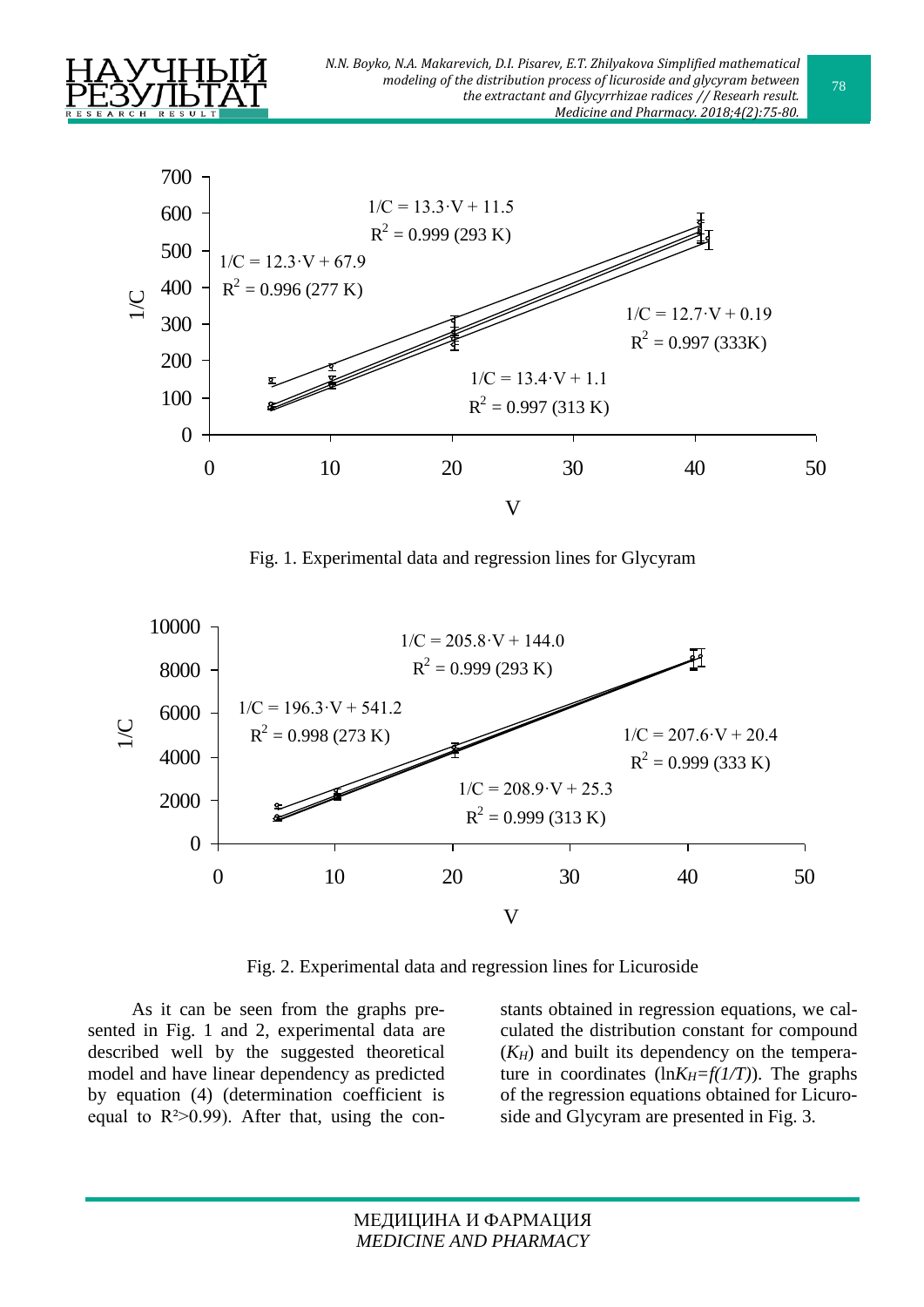



Fig. 1. Experimental data and regression lines for Glycyram



Fig. 2. Experimental data and regression lines for Licuroside

As it can be seen from the graphs presented in Fig. 1 and 2, experimental data are described well by the suggested theoretical model and have linear dependency as predicted by equation (4) (determination coefficient is equal to  $R^2 > 0.99$ ). After that, using the constants obtained in regression equations, we calculated the distribution constant for compound  $(K_H)$  and built its dependency on the temperature in coordinates  $\left(\ln K_H = f(1/T)\right)$ . The graphs of the regression equations obtained for Licuroside and Glycyram are presented in Fig. 3.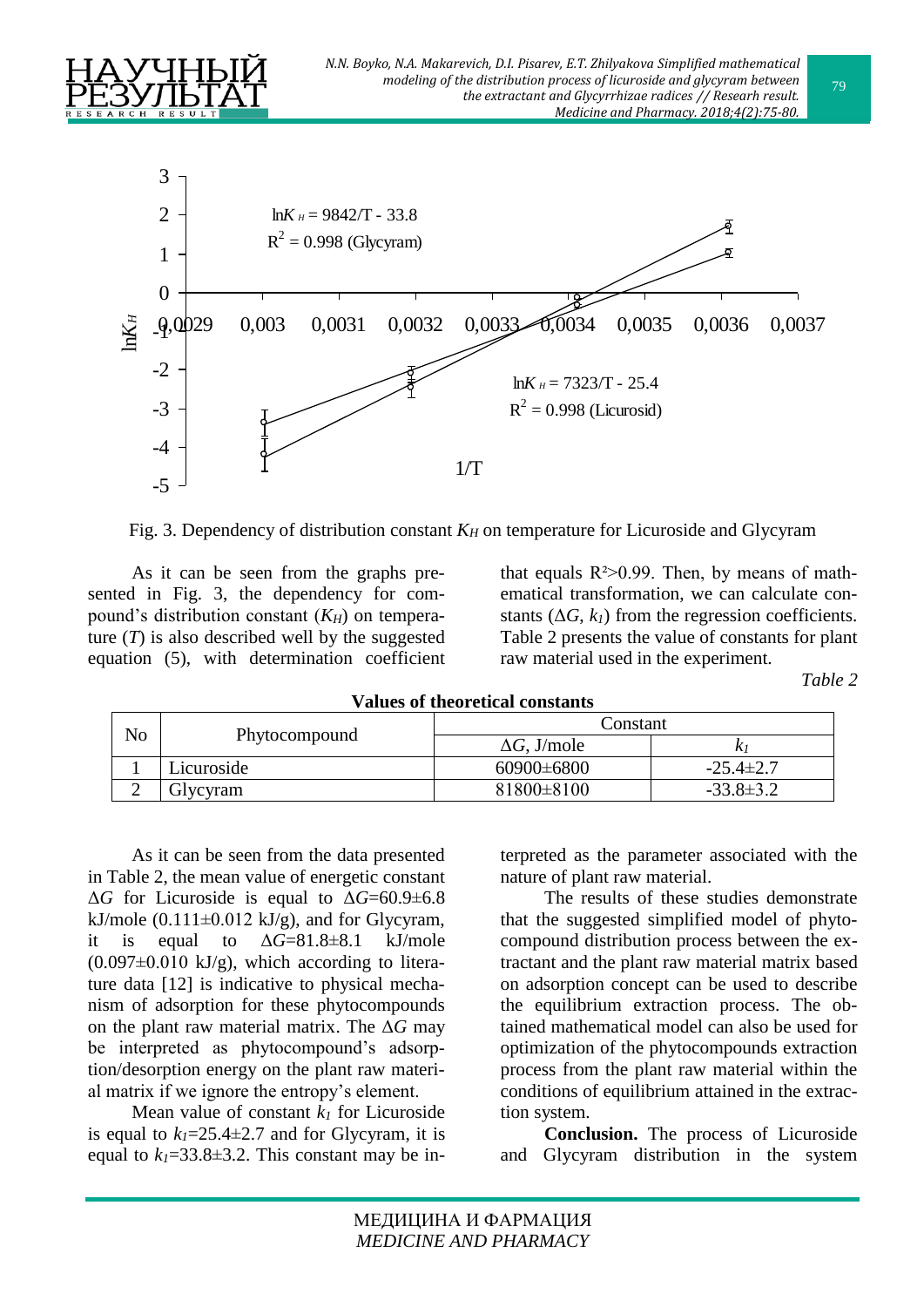



Fig. 3. Dependency of distribution constant  $K_H$  on temperature for Licuroside and Glycyram

As it can be seen from the graphs presented in Fig. 3, the dependency for compound's distribution constant (*KH*) on temperature  $(T)$  is also described well by the suggested equation (5), with determination coefficient

that equals  $R^2 > 0.99$ . Then, by means of mathematical transformation, we can calculate constants  $(\Delta G, k_l)$  from the regression coefficients. Table 2 presents the value of constants for plant raw material used in the experiment.

*Table 2*

| randes of theoretical constants |               |                     |                 |  |
|---------------------------------|---------------|---------------------|-----------------|--|
| No                              | Phytocompound | Constant            |                 |  |
|                                 |               | $\Delta G$ , J/mole |                 |  |
|                                 | Licuroside    | $60900 \pm 6800$    | $-25.4 \pm 2.7$ |  |
| ↩                               | Glycyram      | 81800±8100          | $-33.8 \pm 3.2$ |  |

**Values of theoretical constants**

As it can be seen from the data presented in Table 2, the mean value of energetic constant  $\Delta G$  for Licuroside is equal to  $\Delta G = 60.9 \pm 6.8$ kJ/mole  $(0.111\pm0.012 \text{ kJ/g})$ , and for Glycyram, it is equal to  $\Delta G = 81.8 \pm 8.1$  kJ/mole  $(0.097\pm0.010 \text{ kJ/g})$ , which according to literature data [12] is indicative to physical mechanism of adsorption for these phytocompounds on the plant raw material matrix. The Δ*G* may be interpreted as phytocompound's adsorption/desorption energy on the plant raw material matrix if we ignore the entropy's element.

Mean value of constant  $k_l$  for Licuroside is equal to  $k_1 = 25.4 \pm 2.7$  and for Glycyram, it is equal to  $k_1 = 33.8 \pm 3.2$ . This constant may be interpreted as the parameter associated with the nature of plant raw material.

The results of these studies demonstrate that the suggested simplified model of phytocompound distribution process between the extractant and the plant raw material matrix based on adsorption concept can be used to describe the equilibrium extraction process. The obtained mathematical model can also be used for optimization of the phytocompounds extraction process from the plant raw material within the conditions of equilibrium attained in the extraction system.

**Conclusion.** The process of Licuroside and Glycyram distribution in the system